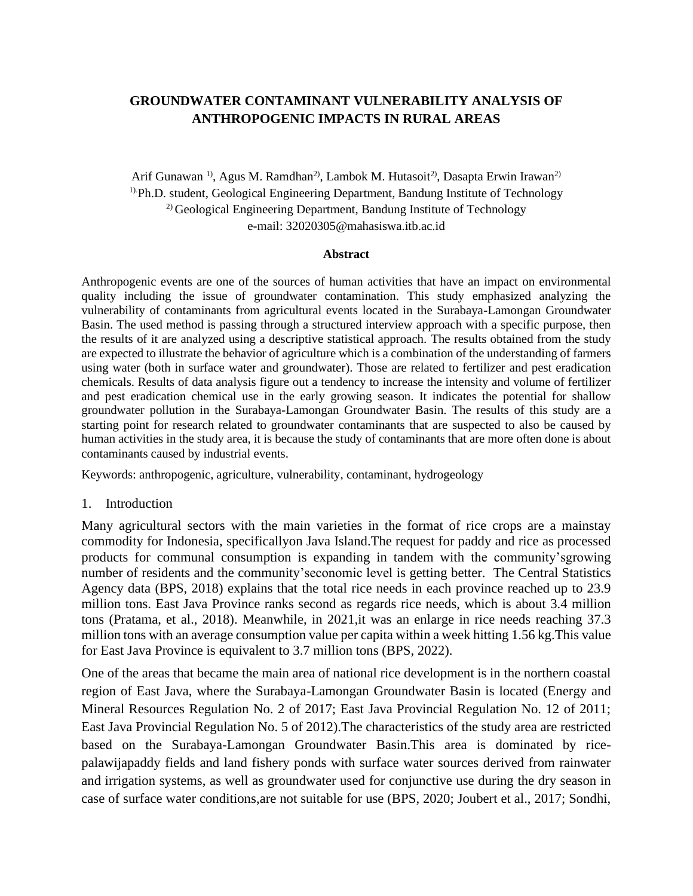# **GROUNDWATER CONTAMINANT VULNERABILITY ANALYSIS OF ANTHROPOGENIC IMPACTS IN RURAL AREAS**

Arif Gunawan<sup>1</sup>, Agus M. Ramdhan<sup>2</sup>, Lambok M. Hutasoit<sup>2</sup>, Dasapta Erwin Irawan<sup>2)</sup> 1).Ph.D. student, Geological Engineering Department, Bandung Institute of Technology <sup>2)</sup> Geological Engineering Department, Bandung Institute of Technology e-mail: 32020305@mahasiswa.itb.ac.id

#### **Abstract**

Anthropogenic events are one of the sources of human activities that have an impact on environmental quality including the issue of groundwater contamination. This study emphasized analyzing the vulnerability of contaminants from agricultural events located in the Surabaya-Lamongan Groundwater Basin. The used method is passing through a structured interview approach with a specific purpose, then the results of it are analyzed using a descriptive statistical approach. The results obtained from the study are expected to illustrate the behavior of agriculture which is a combination of the understanding of farmers using water (both in surface water and groundwater). Those are related to fertilizer and pest eradication chemicals. Results of data analysis figure out a tendency to increase the intensity and volume of fertilizer and pest eradication chemical use in the early growing season. It indicates the potential for shallow groundwater pollution in the Surabaya-Lamongan Groundwater Basin. The results of this study are a starting point for research related to groundwater contaminants that are suspected to also be caused by human activities in the study area, it is because the study of contaminants that are more often done is about contaminants caused by industrial events.

Keywords: anthropogenic, agriculture, vulnerability, contaminant, hydrogeology

#### 1. Introduction

Many agricultural sectors with the main varieties in the format of rice crops are a mainstay commodity for Indonesia, specificallyon Java Island.The request for paddy and rice as processed products for communal consumption is expanding in tandem with the community'sgrowing number of residents and the community'seconomic level is getting better. The Central Statistics Agency data (BPS, 2018) explains that the total rice needs in each province reached up to 23.9 million tons. East Java Province ranks second as regards rice needs, which is about 3.4 million tons (Pratama, et al., 2018). Meanwhile, in 2021,it was an enlarge in rice needs reaching 37.3 million tons with an average consumption value per capita within a week hitting 1.56 kg.This value for East Java Province is equivalent to 3.7 million tons (BPS, 2022).

One of the areas that became the main area of national rice development is in the northern coastal region of East Java, where the Surabaya-Lamongan Groundwater Basin is located (Energy and Mineral Resources Regulation No. 2 of 2017; East Java Provincial Regulation No. 12 of 2011; East Java Provincial Regulation No. 5 of 2012).The characteristics of the study area are restricted based on the Surabaya-Lamongan Groundwater Basin.This area is dominated by ricepalawijapaddy fields and land fishery ponds with surface water sources derived from rainwater and irrigation systems, as well as groundwater used for conjunctive use during the dry season in case of surface water conditions,are not suitable for use (BPS, 2020; Joubert et al., 2017; Sondhi,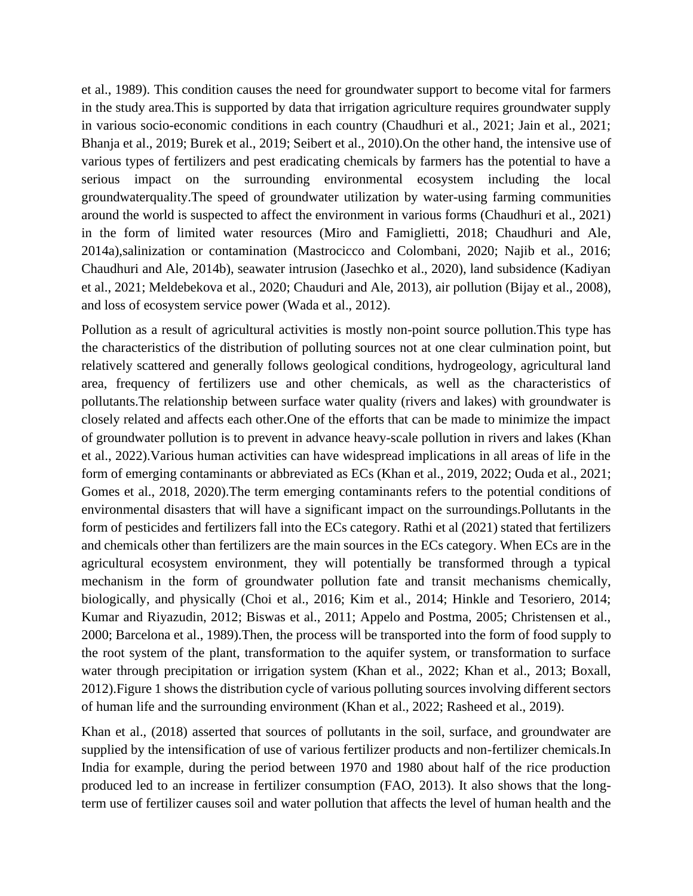et al., 1989). This condition causes the need for groundwater support to become vital for farmers in the study area.This is supported by data that irrigation agriculture requires groundwater supply in various socio-economic conditions in each country (Chaudhuri et al., 2021; Jain et al., 2021; Bhanja et al., 2019; Burek et al., 2019; Seibert et al., 2010).On the other hand, the intensive use of various types of fertilizers and pest eradicating chemicals by farmers has the potential to have a serious impact on the surrounding environmental ecosystem including the local groundwaterquality.The speed of groundwater utilization by water-using farming communities around the world is suspected to affect the environment in various forms (Chaudhuri et al., 2021) in the form of limited water resources (Miro and Famiglietti, 2018; Chaudhuri and Ale, 2014a),salinization or contamination (Mastrocicco and Colombani, 2020; Najib et al., 2016; Chaudhuri and Ale, 2014b), seawater intrusion (Jasechko et al., 2020), land subsidence (Kadiyan et al., 2021; Meldebekova et al., 2020; Chauduri and Ale, 2013), air pollution (Bijay et al., 2008), and loss of ecosystem service power (Wada et al., 2012).

Pollution as a result of agricultural activities is mostly non-point source pollution.This type has the characteristics of the distribution of polluting sources not at one clear culmination point, but relatively scattered and generally follows geological conditions, hydrogeology, agricultural land area, frequency of fertilizers use and other chemicals, as well as the characteristics of pollutants.The relationship between surface water quality (rivers and lakes) with groundwater is closely related and affects each other.One of the efforts that can be made to minimize the impact of groundwater pollution is to prevent in advance heavy-scale pollution in rivers and lakes (Khan et al., 2022).Various human activities can have widespread implications in all areas of life in the form of emerging contaminants or abbreviated as ECs (Khan et al., 2019, 2022; Ouda et al., 2021; Gomes et al., 2018, 2020).The term emerging contaminants refers to the potential conditions of environmental disasters that will have a significant impact on the surroundings.Pollutants in the form of pesticides and fertilizers fall into the ECs category. Rathi et al (2021) stated that fertilizers and chemicals other than fertilizers are the main sources in the ECs category. When ECs are in the agricultural ecosystem environment, they will potentially be transformed through a typical mechanism in the form of groundwater pollution fate and transit mechanisms chemically, biologically, and physically (Choi et al., 2016; Kim et al., 2014; Hinkle and Tesoriero, 2014; Kumar and Riyazudin, 2012; Biswas et al., 2011; Appelo and Postma, 2005; Christensen et al., 2000; Barcelona et al., 1989).Then, the process will be transported into the form of food supply to the root system of the plant, transformation to the aquifer system, or transformation to surface water through precipitation or irrigation system (Khan et al., 2022; Khan et al., 2013; Boxall, 2012).Figure 1 shows the distribution cycle of various polluting sources involving different sectors of human life and the surrounding environment (Khan et al., 2022; Rasheed et al., 2019).

Khan et al., (2018) asserted that sources of pollutants in the soil, surface, and groundwater are supplied by the intensification of use of various fertilizer products and non-fertilizer chemicals.In India for example, during the period between 1970 and 1980 about half of the rice production produced led to an increase in fertilizer consumption (FAO, 2013). It also shows that the longterm use of fertilizer causes soil and water pollution that affects the level of human health and the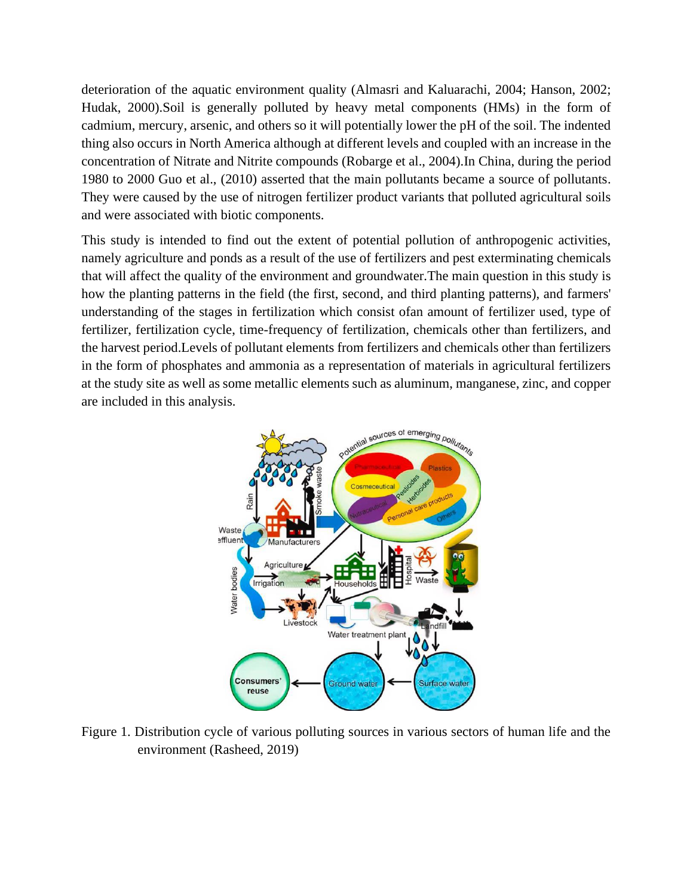deterioration of the aquatic environment quality (Almasri and Kaluarachi, 2004; Hanson, 2002; Hudak, 2000).Soil is generally polluted by heavy metal components (HMs) in the form of cadmium, mercury, arsenic, and others so it will potentially lower the pH of the soil. The indented thing also occurs in North America although at different levels and coupled with an increase in the concentration of Nitrate and Nitrite compounds (Robarge et al., 2004).In China, during the period 1980 to 2000 Guo et al., (2010) asserted that the main pollutants became a source of pollutants. They were caused by the use of nitrogen fertilizer product variants that polluted agricultural soils and were associated with biotic components.

This study is intended to find out the extent of potential pollution of anthropogenic activities, namely agriculture and ponds as a result of the use of fertilizers and pest exterminating chemicals that will affect the quality of the environment and groundwater.The main question in this study is how the planting patterns in the field (the first, second, and third planting patterns), and farmers' understanding of the stages in fertilization which consist ofan amount of fertilizer used, type of fertilizer, fertilization cycle, time-frequency of fertilization, chemicals other than fertilizers, and the harvest period.Levels of pollutant elements from fertilizers and chemicals other than fertilizers in the form of phosphates and ammonia as a representation of materials in agricultural fertilizers at the study site as well as some metallic elements such as aluminum, manganese, zinc, and copper are included in this analysis.



Figure 1. Distribution cycle of various polluting sources in various sectors of human life and the environment (Rasheed, 2019)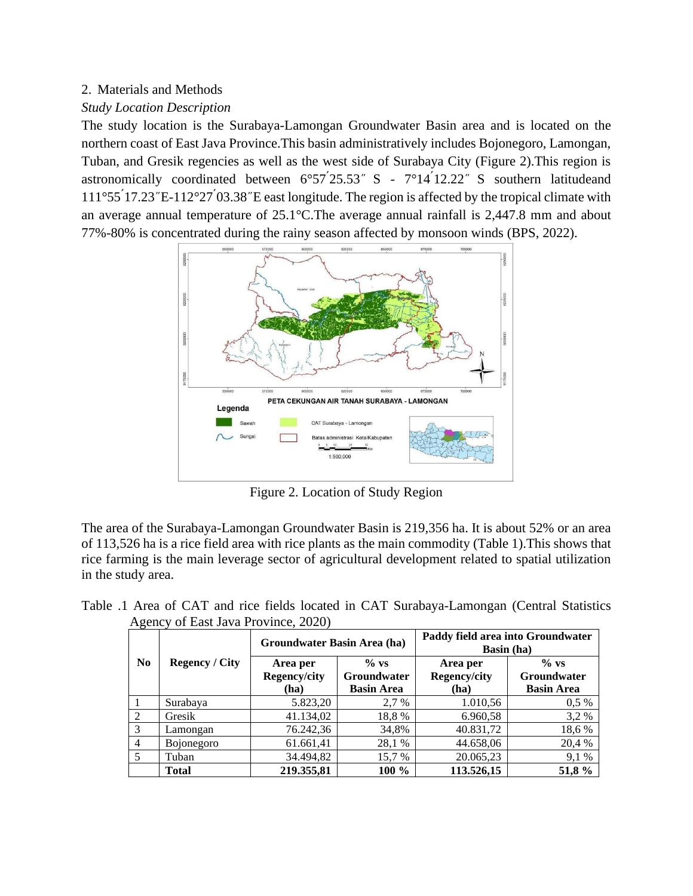# 2. Materials and Methods

# *Study Location Description*

The study location is the Surabaya-Lamongan Groundwater Basin area and is located on the northern coast of East Java Province.This basin administratively includes Bojonegoro, Lamongan, Tuban, and Gresik regencies as well as the west side of Surabaya City (Figure 2).This region is astronomically coordinated between  $6°57'25.53''$  S -  $7°14'12.22''$  S southern latitudeand  $111°55'17.23"E-112°27'03.38"E$  east longitude. The region is affected by the tropical climate with an average annual temperature of 25.1°C.The average annual rainfall is 2,447.8 mm and about 77%-80% is concentrated during the rainy season affected by monsoon winds (BPS, 2022).



Figure 2. Location of Study Region

The area of the Surabaya-Lamongan Groundwater Basin is 219,356 ha. It is about 52% or an area of 113,526 ha is a rice field area with rice plants as the main commodity (Table 1).This shows that rice farming is the main leverage sector of agricultural development related to spatial utilization in the study area.

Table .1 Area of CAT and rice fields located in CAT Surabaya-Lamongan (Central Statistics Agency of East Java Province, 2020)

| $\sqrt{2}$<br>N <sub>0</sub> | <b>Regency</b> / City | Groundwater Basin Area (ha)             |                                                    | Paddy field area into Groundwater<br><b>Basin</b> (ha) |                                                    |  |
|------------------------------|-----------------------|-----------------------------------------|----------------------------------------------------|--------------------------------------------------------|----------------------------------------------------|--|
|                              |                       | Area per<br><b>Regency/city</b><br>(ha) | $\%$ vs<br><b>Groundwater</b><br><b>Basin Area</b> | Area per<br>Regency/city<br>(ha)                       | $\%$ vs<br><b>Groundwater</b><br><b>Basin Area</b> |  |
|                              | Surabaya              | 5.823,20                                | 2.7 %                                              | 1.010,56                                               | $0,5\%$                                            |  |
| $\mathfrak{D}$               | Gresik                | 41.134,02                               | 18,8 %                                             | 6.960,58                                               | 3,2 %                                              |  |
| 3                            | Lamongan              | 76.242,36                               | 34,8%                                              | 40.831,72                                              | 18,6 %                                             |  |
| $\overline{4}$               | <b>Bojonegoro</b>     | 61.661,41                               | 28,1 %                                             | 44.658,06                                              | 20,4 %                                             |  |
| 5                            | Tuban                 | 34.494,82                               | 15,7 %                                             | 20.065,23                                              | 9,1 %                                              |  |
|                              | <b>Total</b>          | 219.355,81                              | 100 %                                              | 113.526,15                                             | 51,8%                                              |  |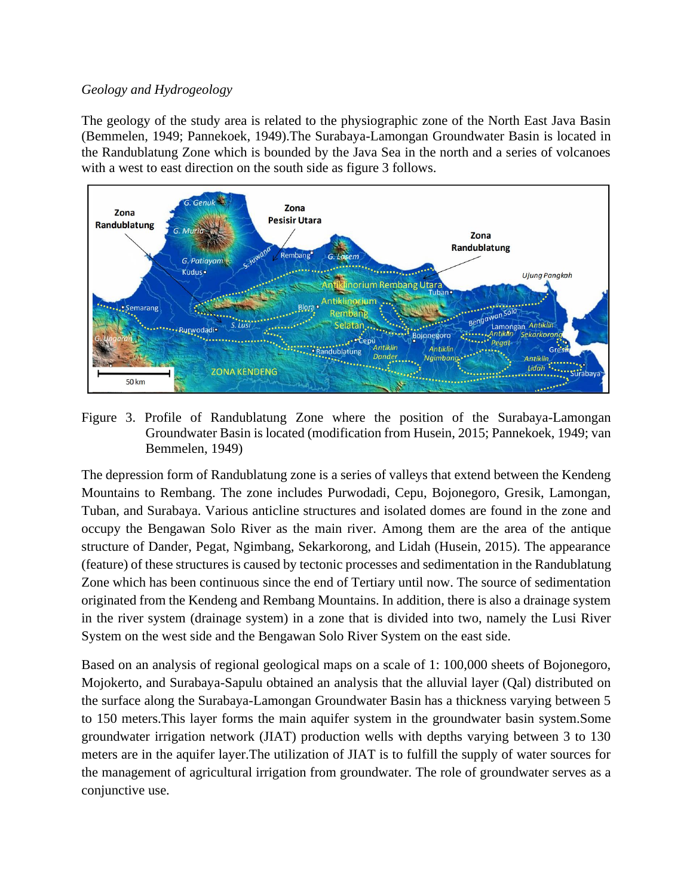## *Geology and Hydrogeology*

The geology of the study area is related to the physiographic zone of the North East Java Basin (Bemmelen, 1949; Pannekoek, 1949).The Surabaya-Lamongan Groundwater Basin is located in the Randublatung Zone which is bounded by the Java Sea in the north and a series of volcanoes with a west to east direction on the south side as figure 3 follows.



Figure 3. Profile of Randublatung Zone where the position of the Surabaya-Lamongan Groundwater Basin is located (modification from Husein, 2015; Pannekoek, 1949; van Bemmelen, 1949)

The depression form of Randublatung zone is a series of valleys that extend between the Kendeng Mountains to Rembang. The zone includes Purwodadi, Cepu, Bojonegoro, Gresik, Lamongan, Tuban, and Surabaya. Various anticline structures and isolated domes are found in the zone and occupy the Bengawan Solo River as the main river. Among them are the area of the antique structure of Dander, Pegat, Ngimbang, Sekarkorong, and Lidah (Husein, 2015). The appearance (feature) of these structures is caused by tectonic processes and sedimentation in the Randublatung Zone which has been continuous since the end of Tertiary until now. The source of sedimentation originated from the Kendeng and Rembang Mountains. In addition, there is also a drainage system in the river system (drainage system) in a zone that is divided into two, namely the Lusi River System on the west side and the Bengawan Solo River System on the east side.

Based on an analysis of regional geological maps on a scale of 1: 100,000 sheets of Bojonegoro, Mojokerto, and Surabaya-Sapulu obtained an analysis that the alluvial layer (Qal) distributed on the surface along the Surabaya-Lamongan Groundwater Basin has a thickness varying between 5 to 150 meters.This layer forms the main aquifer system in the groundwater basin system.Some groundwater irrigation network (JIAT) production wells with depths varying between 3 to 130 meters are in the aquifer layer.The utilization of JIAT is to fulfill the supply of water sources for the management of agricultural irrigation from groundwater. The role of groundwater serves as a conjunctive use.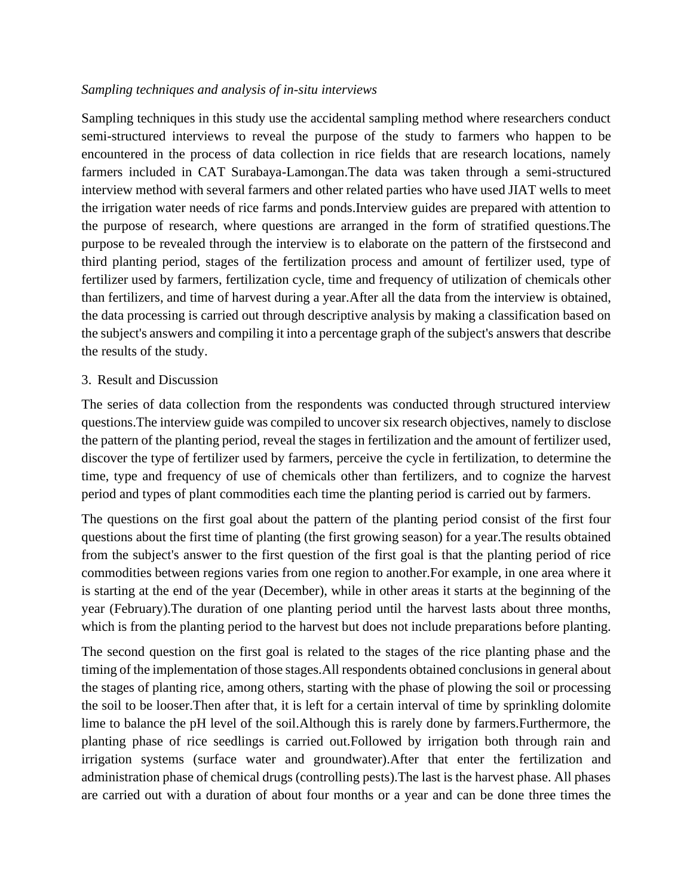## *Sampling techniques and analysis of in-situ interviews*

Sampling techniques in this study use the accidental sampling method where researchers conduct semi-structured interviews to reveal the purpose of the study to farmers who happen to be encountered in the process of data collection in rice fields that are research locations, namely farmers included in CAT Surabaya-Lamongan.The data was taken through a semi-structured interview method with several farmers and other related parties who have used JIAT wells to meet the irrigation water needs of rice farms and ponds.Interview guides are prepared with attention to the purpose of research, where questions are arranged in the form of stratified questions.The purpose to be revealed through the interview is to elaborate on the pattern of the firstsecond and third planting period, stages of the fertilization process and amount of fertilizer used, type of fertilizer used by farmers, fertilization cycle, time and frequency of utilization of chemicals other than fertilizers, and time of harvest during a year.After all the data from the interview is obtained, the data processing is carried out through descriptive analysis by making a classification based on the subject's answers and compiling it into a percentage graph of the subject's answers that describe the results of the study.

## 3. Result and Discussion

The series of data collection from the respondents was conducted through structured interview questions.The interview guide was compiled to uncover six research objectives, namely to disclose the pattern of the planting period, reveal the stages in fertilization and the amount of fertilizer used, discover the type of fertilizer used by farmers, perceive the cycle in fertilization, to determine the time, type and frequency of use of chemicals other than fertilizers, and to cognize the harvest period and types of plant commodities each time the planting period is carried out by farmers.

The questions on the first goal about the pattern of the planting period consist of the first four questions about the first time of planting (the first growing season) for a year.The results obtained from the subject's answer to the first question of the first goal is that the planting period of rice commodities between regions varies from one region to another.For example, in one area where it is starting at the end of the year (December), while in other areas it starts at the beginning of the year (February).The duration of one planting period until the harvest lasts about three months, which is from the planting period to the harvest but does not include preparations before planting.

The second question on the first goal is related to the stages of the rice planting phase and the timing of the implementation of those stages.All respondents obtained conclusions in general about the stages of planting rice, among others, starting with the phase of plowing the soil or processing the soil to be looser.Then after that, it is left for a certain interval of time by sprinkling dolomite lime to balance the pH level of the soil.Although this is rarely done by farmers.Furthermore, the planting phase of rice seedlings is carried out.Followed by irrigation both through rain and irrigation systems (surface water and groundwater).After that enter the fertilization and administration phase of chemical drugs (controlling pests).The last is the harvest phase. All phases are carried out with a duration of about four months or a year and can be done three times the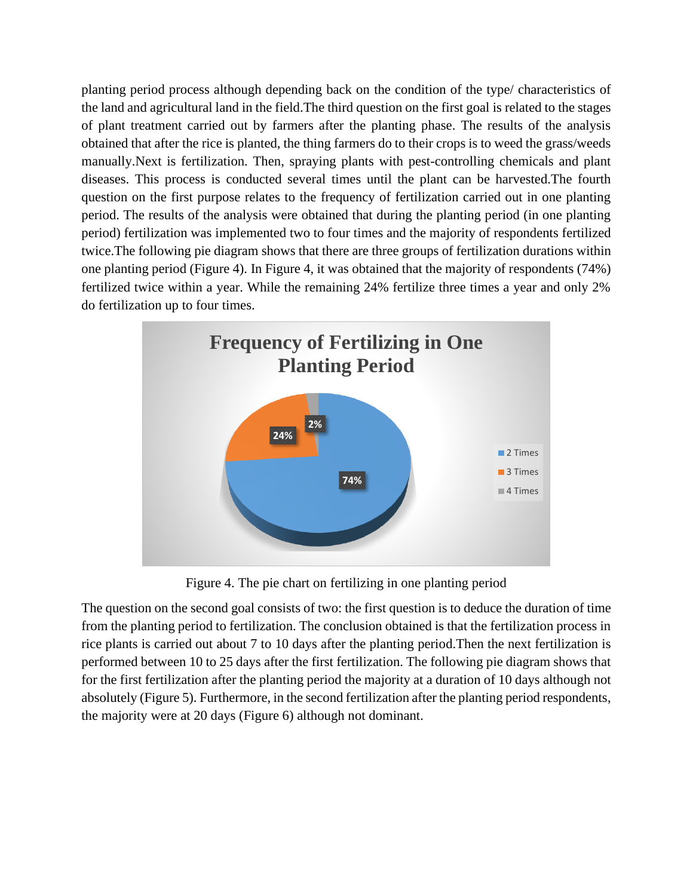planting period process although depending back on the condition of the type/ characteristics of the land and agricultural land in the field.The third question on the first goal is related to the stages of plant treatment carried out by farmers after the planting phase. The results of the analysis obtained that after the rice is planted, the thing farmers do to their crops is to weed the grass/weeds manually.Next is fertilization. Then, spraying plants with pest-controlling chemicals and plant diseases. This process is conducted several times until the plant can be harvested.The fourth question on the first purpose relates to the frequency of fertilization carried out in one planting period. The results of the analysis were obtained that during the planting period (in one planting period) fertilization was implemented two to four times and the majority of respondents fertilized twice.The following pie diagram shows that there are three groups of fertilization durations within one planting period (Figure 4). In Figure 4, it was obtained that the majority of respondents (74%) fertilized twice within a year. While the remaining 24% fertilize three times a year and only 2% do fertilization up to four times.



Figure 4. The pie chart on fertilizing in one planting period

The question on the second goal consists of two: the first question is to deduce the duration of time from the planting period to fertilization. The conclusion obtained is that the fertilization process in rice plants is carried out about 7 to 10 days after the planting period.Then the next fertilization is performed between 10 to 25 days after the first fertilization. The following pie diagram shows that for the first fertilization after the planting period the majority at a duration of 10 days although not absolutely (Figure 5). Furthermore, in the second fertilization after the planting period respondents, the majority were at 20 days (Figure 6) although not dominant.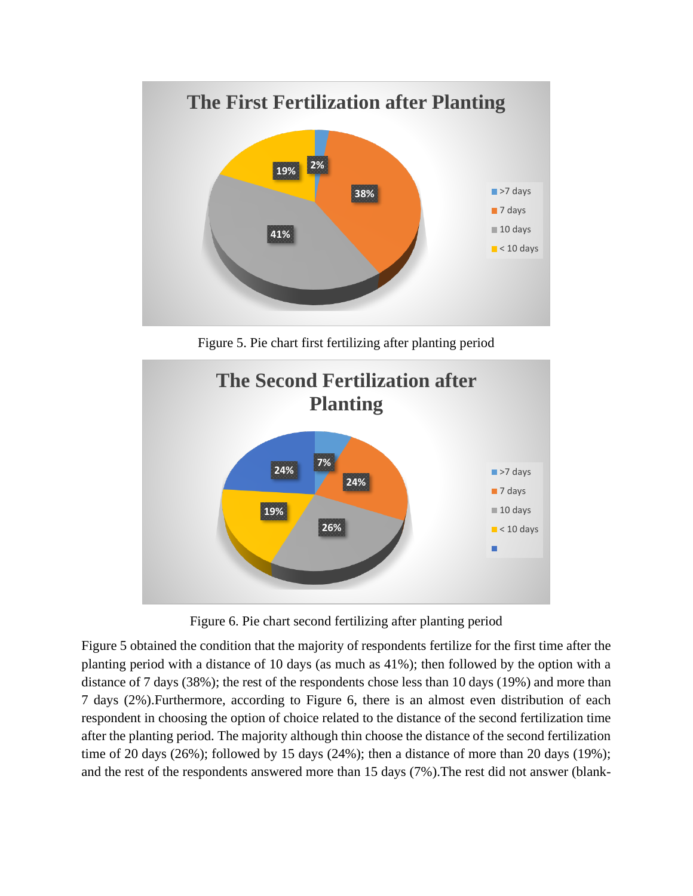

Figure 5. Pie chart first fertilizing after planting period



Figure 6. Pie chart second fertilizing after planting period

Figure 5 obtained the condition that the majority of respondents fertilize for the first time after the planting period with a distance of 10 days (as much as 41%); then followed by the option with a distance of 7 days (38%); the rest of the respondents chose less than 10 days (19%) and more than 7 days (2%).Furthermore, according to Figure 6, there is an almost even distribution of each respondent in choosing the option of choice related to the distance of the second fertilization time after the planting period. The majority although thin choose the distance of the second fertilization time of 20 days (26%); followed by 15 days (24%); then a distance of more than 20 days (19%); and the rest of the respondents answered more than 15 days (7%).The rest did not answer (blank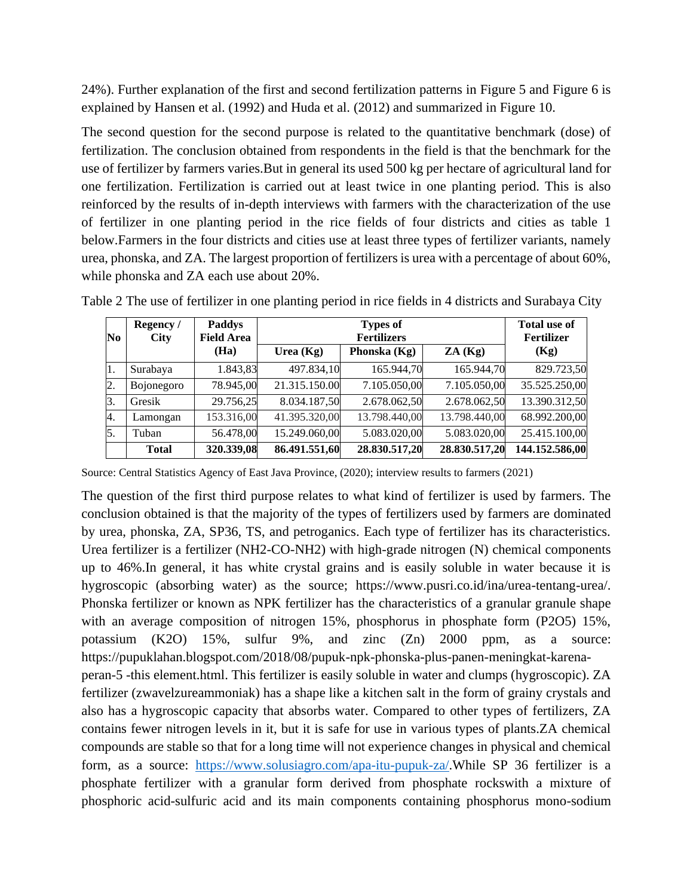24%). Further explanation of the first and second fertilization patterns in Figure 5 and Figure 6 is explained by Hansen et al. (1992) and Huda et al. (2012) and summarized in Figure 10.

The second question for the second purpose is related to the quantitative benchmark (dose) of fertilization. The conclusion obtained from respondents in the field is that the benchmark for the use of fertilizer by farmers varies.But in general its used 500 kg per hectare of agricultural land for one fertilization. Fertilization is carried out at least twice in one planting period. This is also reinforced by the results of in-depth interviews with farmers with the characterization of the use of fertilizer in one planting period in the rice fields of four districts and cities as table 1 below.Farmers in the four districts and cities use at least three types of fertilizer variants, namely urea, phonska, and ZA. The largest proportion of fertilizers is urea with a percentage of about 60%, while phonska and ZA each use about 20%.

| No               | Regency /<br><b>City</b> | <b>Paddys</b><br><b>Field Area</b> |               | <b>Total use of</b><br><b>Fertilizer</b> |               |                |
|------------------|--------------------------|------------------------------------|---------------|------------------------------------------|---------------|----------------|
|                  |                          | (Ha)                               | Urea $(Kg)$   | Phonska (Kg)                             | ZA(Kg)        | (Kg)           |
| 11.              | Surabaya                 | 1.843,83                           | 497.834,10    | 165.944,70                               | 165.944,70    | 829.723,50     |
| $\overline{2}$ . | Bojonegoro               | 78.945,00                          | 21.315.150.00 | 7.105.050,00                             | 7.105.050,00  | 35.525.250,00  |
| 3.               | Gresik                   | 29.756,25                          | 8.034.187,50  | 2.678.062,50                             | 2.678.062,50  | 13.390.312,50  |
| 4.               | Lamongan                 | 153.316,00                         | 41.395.320,00 | 13.798.440,00                            | 13.798.440,00 | 68.992.200,00  |
| 5.               | Tuban                    | 56.478,00                          | 15.249.060,00 | 5.083.020,00                             | 5.083.020,00  | 25.415.100,00  |
|                  | <b>Total</b>             | 320.339,08                         | 86.491.551,60 | 28.830.517,20                            | 28.830.517,20 | 144.152.586,00 |

Table 2 The use of fertilizer in one planting period in rice fields in 4 districts and Surabaya City

Source: Central Statistics Agency of East Java Province, (2020); interview results to farmers (2021)

The question of the first third purpose relates to what kind of fertilizer is used by farmers. The conclusion obtained is that the majority of the types of fertilizers used by farmers are dominated by urea, phonska, ZA, SP36, TS, and petroganics. Each type of fertilizer has its characteristics. Urea fertilizer is a fertilizer (NH2-CO-NH2) with high-grade nitrogen (N) chemical components up to 46%.In general, it has white crystal grains and is easily soluble in water because it is hygroscopic (absorbing water) as the source; https://www.pusri.co.id/ina/urea-tentang-urea/. Phonska fertilizer or known as NPK fertilizer has the characteristics of a granular granule shape with an average composition of nitrogen 15%, phosphorus in phosphate form (P2O5) 15%, potassium (K2O) 15%, sulfur 9%, and zinc (Zn) 2000 ppm, as a source: https://pupuklahan.blogspot.com/2018/08/pupuk-npk-phonska-plus-panen-meningkat-karenaperan-5 -this element.html. This fertilizer is easily soluble in water and clumps (hygroscopic). ZA fertilizer (zwavelzureammoniak) has a shape like a kitchen salt in the form of grainy crystals and also has a hygroscopic capacity that absorbs water. Compared to other types of fertilizers, ZA contains fewer nitrogen levels in it, but it is safe for use in various types of plants.ZA chemical compounds are stable so that for a long time will not experience changes in physical and chemical form, as a source: [https://www.solusiagro.com/apa-itu-pupuk-za/.](https://www.solusiagro.com/apa-itu-pupuk-za/)While SP 36 fertilizer is a phosphate fertilizer with a granular form derived from phosphate rockswith a mixture of phosphoric acid-sulfuric acid and its main components containing phosphorus mono-sodium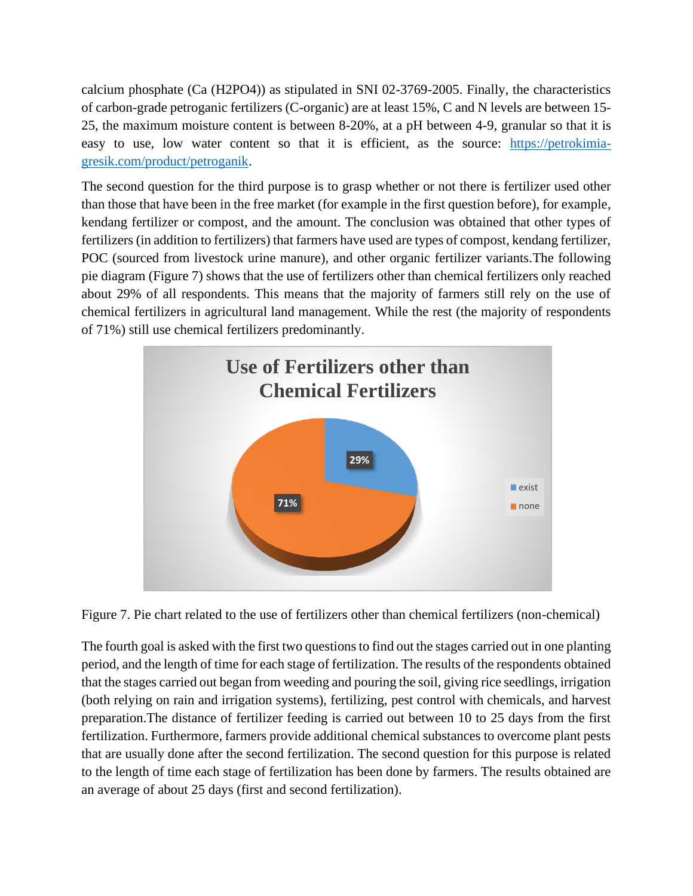calcium phosphate (Ca (H2PO4)) as stipulated in SNI 02-3769-2005. Finally, the characteristics of carbon-grade petroganic fertilizers (C-organic) are at least 15%, C and N levels are between 15- 25, the maximum moisture content is between 8-20%, at a pH between 4-9, granular so that it is easy to use, low water content so that it is efficient, as the source: [https://petrokimia](https://petrokimia-gresik.com/product/petroganik)[gresik.com/product/petroganik.](https://petrokimia-gresik.com/product/petroganik)

The second question for the third purpose is to grasp whether or not there is fertilizer used other than those that have been in the free market (for example in the first question before), for example, kendang fertilizer or compost, and the amount. The conclusion was obtained that other types of fertilizers (in addition to fertilizers) that farmers have used are types of compost, kendang fertilizer, POC (sourced from livestock urine manure), and other organic fertilizer variants.The following pie diagram (Figure 7) shows that the use of fertilizers other than chemical fertilizers only reached about 29% of all respondents. This means that the majority of farmers still rely on the use of chemical fertilizers in agricultural land management. While the rest (the majority of respondents of 71%) still use chemical fertilizers predominantly.





The fourth goal is asked with the first two questions to find out the stages carried out in one planting period, and the length of time for each stage of fertilization. The results of the respondents obtained that the stages carried out began from weeding and pouring the soil, giving rice seedlings, irrigation (both relying on rain and irrigation systems), fertilizing, pest control with chemicals, and harvest preparation.The distance of fertilizer feeding is carried out between 10 to 25 days from the first fertilization. Furthermore, farmers provide additional chemical substances to overcome plant pests that are usually done after the second fertilization. The second question for this purpose is related to the length of time each stage of fertilization has been done by farmers. The results obtained are an average of about 25 days (first and second fertilization).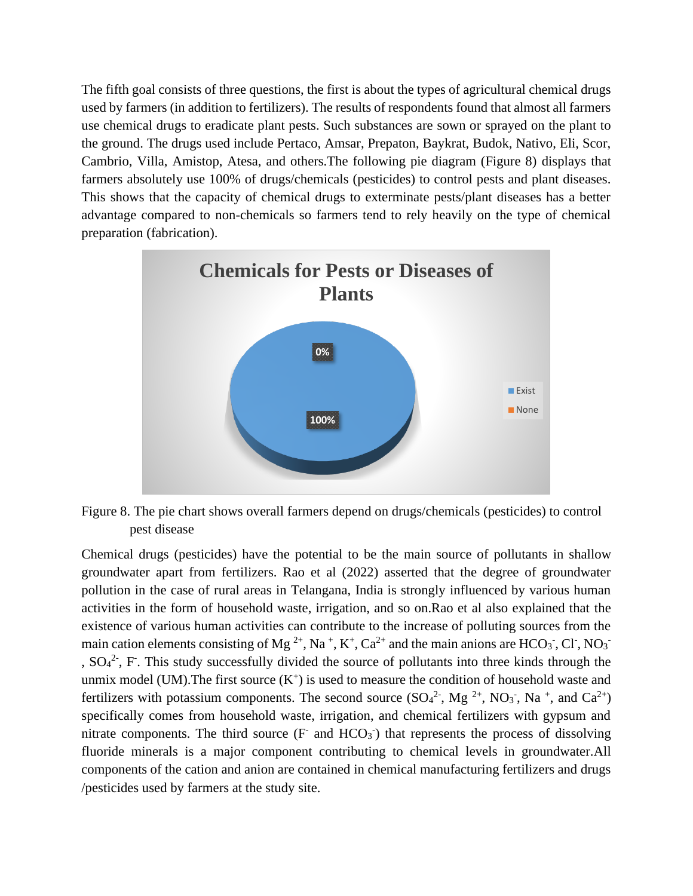The fifth goal consists of three questions, the first is about the types of agricultural chemical drugs used by farmers (in addition to fertilizers). The results of respondents found that almost all farmers use chemical drugs to eradicate plant pests. Such substances are sown or sprayed on the plant to the ground. The drugs used include Pertaco, Amsar, Prepaton, Baykrat, Budok, Nativo, Eli, Scor, Cambrio, Villa, Amistop, Atesa, and others.The following pie diagram (Figure 8) displays that farmers absolutely use 100% of drugs/chemicals (pesticides) to control pests and plant diseases. This shows that the capacity of chemical drugs to exterminate pests/plant diseases has a better advantage compared to non-chemicals so farmers tend to rely heavily on the type of chemical preparation (fabrication).



Figure 8. The pie chart shows overall farmers depend on drugs/chemicals (pesticides) to control pest disease

Chemical drugs (pesticides) have the potential to be the main source of pollutants in shallow groundwater apart from fertilizers. Rao et al (2022) asserted that the degree of groundwater pollution in the case of rural areas in Telangana, India is strongly influenced by various human activities in the form of household waste, irrigation, and so on.Rao et al also explained that the existence of various human activities can contribute to the increase of polluting sources from the main cation elements consisting of Mg<sup>2+</sup>, Na<sup>+</sup>, K<sup>+</sup>, Ca<sup>2+</sup> and the main anions are HCO<sub>3</sub><sup>-</sup>, Cl<sup>-</sup>, NO<sub>3</sub><sup>-</sup> ,  $SO<sub>4</sub><sup>2</sup>$ , F. This study successfully divided the source of pollutants into three kinds through the unmix model (UM). The first source  $(K^+)$  is used to measure the condition of household waste and fertilizers with potassium components. The second source  $(SO<sub>4</sub><sup>2</sup>$ , Mg<sup>2+</sup>, NO<sub>3</sub><sup>-</sup>, Na<sup>+</sup>, and Ca<sup>2+</sup>) specifically comes from household waste, irrigation, and chemical fertilizers with gypsum and nitrate components. The third source  $(F$  and  $HCO<sub>3</sub>)$  that represents the process of dissolving fluoride minerals is a major component contributing to chemical levels in groundwater.All components of the cation and anion are contained in chemical manufacturing fertilizers and drugs /pesticides used by farmers at the study site.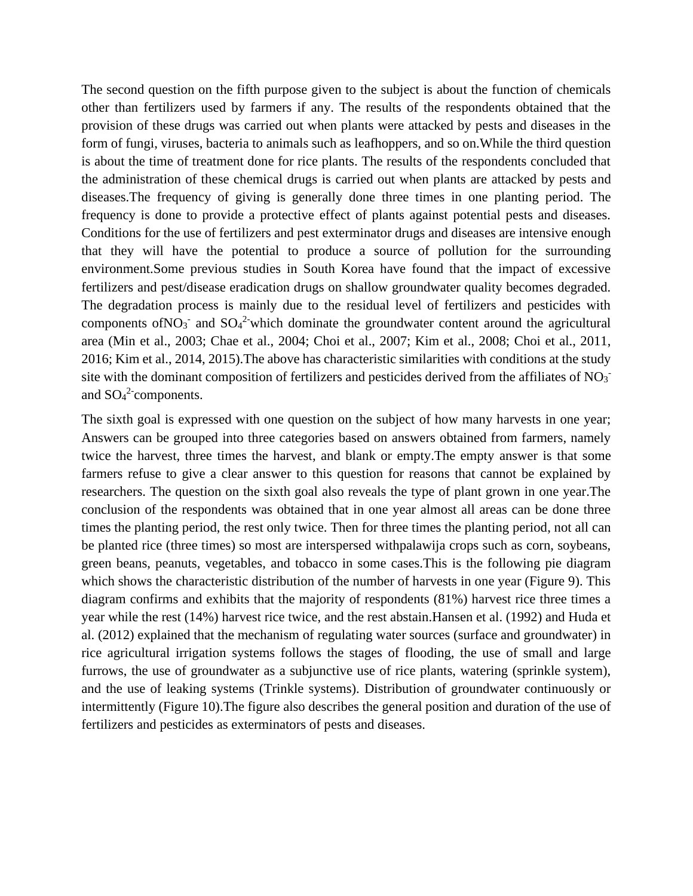The second question on the fifth purpose given to the subject is about the function of chemicals other than fertilizers used by farmers if any. The results of the respondents obtained that the provision of these drugs was carried out when plants were attacked by pests and diseases in the form of fungi, viruses, bacteria to animals such as leafhoppers, and so on.While the third question is about the time of treatment done for rice plants. The results of the respondents concluded that the administration of these chemical drugs is carried out when plants are attacked by pests and diseases.The frequency of giving is generally done three times in one planting period. The frequency is done to provide a protective effect of plants against potential pests and diseases. Conditions for the use of fertilizers and pest exterminator drugs and diseases are intensive enough that they will have the potential to produce a source of pollution for the surrounding environment.Some previous studies in South Korea have found that the impact of excessive fertilizers and pest/disease eradication drugs on shallow groundwater quality becomes degraded. The degradation process is mainly due to the residual level of fertilizers and pesticides with components of NO<sub>3</sub><sup>-</sup> and  $SO_4^2$ -which dominate the groundwater content around the agricultural area (Min et al., 2003; Chae et al., 2004; Choi et al., 2007; Kim et al., 2008; Choi et al., 2011, 2016; Kim et al., 2014, 2015).The above has characteristic similarities with conditions at the study site with the dominant composition of fertilizers and pesticides derived from the affiliates of  $NO<sub>3</sub>$ . and  $SO_4^2$  components.

The sixth goal is expressed with one question on the subject of how many harvests in one year; Answers can be grouped into three categories based on answers obtained from farmers, namely twice the harvest, three times the harvest, and blank or empty.The empty answer is that some farmers refuse to give a clear answer to this question for reasons that cannot be explained by researchers. The question on the sixth goal also reveals the type of plant grown in one year.The conclusion of the respondents was obtained that in one year almost all areas can be done three times the planting period, the rest only twice. Then for three times the planting period, not all can be planted rice (three times) so most are interspersed withpalawija crops such as corn, soybeans, green beans, peanuts, vegetables, and tobacco in some cases.This is the following pie diagram which shows the characteristic distribution of the number of harvests in one year (Figure 9). This diagram confirms and exhibits that the majority of respondents (81%) harvest rice three times a year while the rest (14%) harvest rice twice, and the rest abstain.Hansen et al. (1992) and Huda et al. (2012) explained that the mechanism of regulating water sources (surface and groundwater) in rice agricultural irrigation systems follows the stages of flooding, the use of small and large furrows, the use of groundwater as a subjunctive use of rice plants, watering (sprinkle system), and the use of leaking systems (Trinkle systems). Distribution of groundwater continuously or intermittently (Figure 10).The figure also describes the general position and duration of the use of fertilizers and pesticides as exterminators of pests and diseases.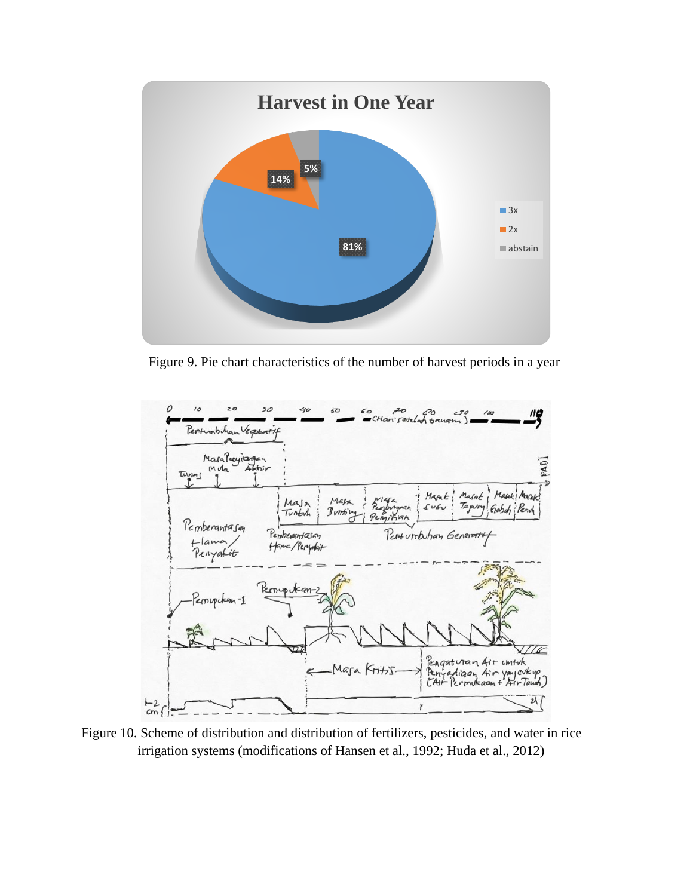

Figure 9. Pie chart characteristics of the number of harvest periods in a year



Figure 10. Scheme of distribution and distribution of fertilizers, pesticides, and water in rice irrigation systems (modifications of Hansen et al., 1992; Huda et al., 2012)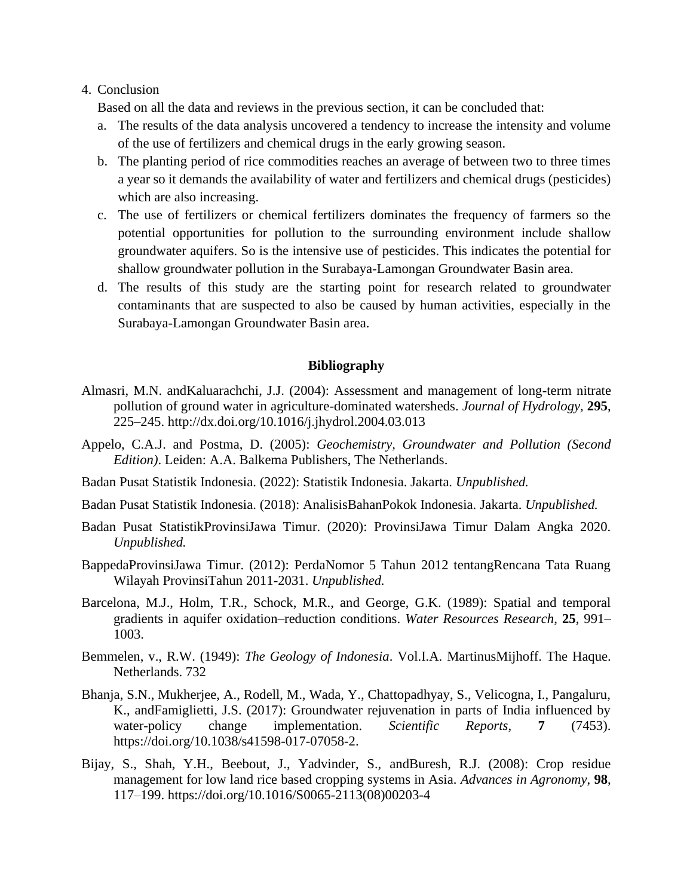### 4. Conclusion

Based on all the data and reviews in the previous section, it can be concluded that:

- a. The results of the data analysis uncovered a tendency to increase the intensity and volume of the use of fertilizers and chemical drugs in the early growing season.
- b. The planting period of rice commodities reaches an average of between two to three times a year so it demands the availability of water and fertilizers and chemical drugs (pesticides) which are also increasing.
- c. The use of fertilizers or chemical fertilizers dominates the frequency of farmers so the potential opportunities for pollution to the surrounding environment include shallow groundwater aquifers. So is the intensive use of pesticides. This indicates the potential for shallow groundwater pollution in the Surabaya-Lamongan Groundwater Basin area.
- d. The results of this study are the starting point for research related to groundwater contaminants that are suspected to also be caused by human activities, especially in the Surabaya-Lamongan Groundwater Basin area.

#### **Bibliography**

- Almasri, M.N. andKaluarachchi, J.J. (2004): Assessment and management of long-term nitrate pollution of ground water in agriculture-dominated watersheds. *Journal of Hydrology,* **295**, 225–245. http://dx.doi.org/10.1016/j.jhydrol.2004.03.013
- Appelo, C.A.J. and Postma, D. (2005): *Geochemistry, Groundwater and Pollution (Second Edition)*. Leiden: A.A. Balkema Publishers, The Netherlands.
- Badan Pusat Statistik Indonesia. (2022): Statistik Indonesia. Jakarta. *Unpublished.*
- Badan Pusat Statistik Indonesia. (2018): AnalisisBahanPokok Indonesia. Jakarta. *Unpublished.*
- Badan Pusat StatistikProvinsiJawa Timur. (2020): ProvinsiJawa Timur Dalam Angka 2020. *Unpublished.*
- BappedaProvinsiJawa Timur. (2012): PerdaNomor 5 Tahun 2012 tentangRencana Tata Ruang Wilayah ProvinsiTahun 2011-2031. *Unpublished.*
- Barcelona, M.J., Holm, T.R., Schock, M.R., and George, G.K. (1989): Spatial and temporal gradients in aquifer oxidation–reduction conditions. *Water Resources Research*, **25**, 991– 1003.
- Bemmelen, v., R.W. (1949): *The Geology of Indonesia*. Vol.I.A. MartinusMijhoff. The Haque. Netherlands. 732
- Bhanja, S.N., Mukherjee, A., Rodell, M., Wada, Y., Chattopadhyay, S., Velicogna, I., Pangaluru, K., andFamiglietti, J.S. (2017): Groundwater rejuvenation in parts of India influenced by water-policy change implementation. *Scientific Reports*, **7** (7453). https://doi.org/10.1038/s41598-017-07058-2.
- Bijay, S., Shah, Y.H., Beebout, J., Yadvinder, S., andBuresh, R.J. (2008): Crop residue management for low land rice based cropping systems in Asia. *Advances in Agronomy*, **98**, 117–199. https://doi.org/10.1016/S0065-2113(08)00203-4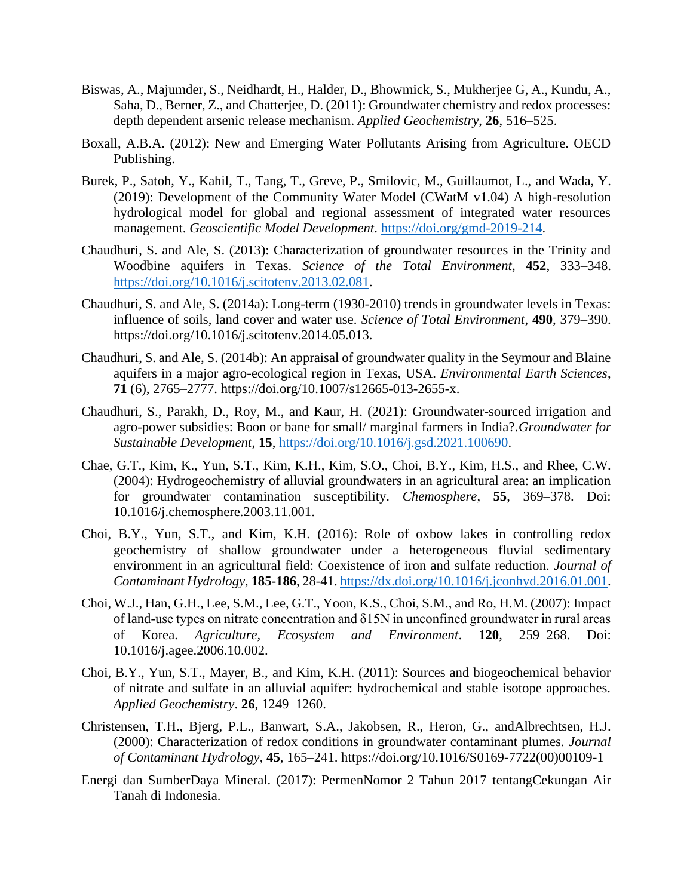- Biswas, A., Majumder, S., Neidhardt, H., Halder, D., Bhowmick, S., Mukherjee G, A., Kundu, A., Saha, D., Berner, Z., and Chatterjee, D. (2011): Groundwater chemistry and redox processes: depth dependent arsenic release mechanism. *Applied Geochemistry*, **26**, 516–525.
- Boxall, A.B.A. (2012): New and Emerging Water Pollutants Arising from Agriculture. OECD Publishing.
- Burek, P., Satoh, Y., Kahil, T., Tang, T., Greve, P., Smilovic, M., Guillaumot, L., and Wada, Y. (2019): Development of the Community Water Model (CWatM v1.04) A high-resolution hydrological model for global and regional assessment of integrated water resources management. *Geoscientific Model Development*. [https://doi.org/gmd-2019-214.](https://doi.org/gmd-2019-214)
- Chaudhuri, S. and Ale, S. (2013): Characterization of groundwater resources in the Trinity and Woodbine aquifers in Texas. *Science of the Total Environment*, **452**, 333–348. [https://doi.org/10.1016/j.scitotenv.2013.02.081.](https://doi.org/10.1016/j.scitotenv.2013.02.081)
- Chaudhuri, S. and Ale, S. (2014a): Long-term (1930-2010) trends in groundwater levels in Texas: influence of soils, land cover and water use. *Science of Total Environment*, **490**, 379–390. https://doi.org/10.1016/j.scitotenv.2014.05.013.
- Chaudhuri, S. and Ale, S. (2014b): An appraisal of groundwater quality in the Seymour and Blaine aquifers in a major agro-ecological region in Texas, USA. *Environmental Earth Sciences*, **71** (6), 2765–2777. https://doi.org/10.1007/s12665-013-2655-x.
- Chaudhuri, S., Parakh, D., Roy, M., and Kaur, H. (2021): Groundwater-sourced irrigation and agro-power subsidies: Boon or bane for small/ marginal farmers in India?.*Groundwater for Sustainable Development*, **15**, [https://doi.org/10.1016/j.gsd.2021.100690.](https://doi.org/10.1016/j.gsd.2021.100690)
- Chae, G.T., Kim, K., Yun, S.T., Kim, K.H., Kim, S.O., Choi, B.Y., Kim, H.S., and Rhee, C.W. (2004): Hydrogeochemistry of alluvial groundwaters in an agricultural area: an implication for groundwater contamination susceptibility. *Chemosphere*, **55**, 369–378. Doi: 10.1016/j.chemosphere.2003.11.001.
- Choi, B.Y., Yun, S.T., and Kim, K.H. (2016): Role of oxbow lakes in controlling redox geochemistry of shallow groundwater under a heterogeneous fluvial sedimentary environment in an agricultural field: Coexistence of iron and sulfate reduction. *Journal of Contaminant Hydrology,* **185-186**, 28-41[. https://dx.doi.org/10.1016/j.jconhyd.2016.01.001.](https://dx.doi.org/10.1016/j.jconhyd.2016.01.001)
- Choi, W.J., Han, G.H., Lee, S.M., Lee, G.T., Yoon, K.S., Choi, S.M., and Ro, H.M. (2007): Impact of land-use types on nitrate concentration and δ15N in unconfined groundwater in rural areas of Korea. *Agriculture, Ecosystem and Environment*. **120**, 259–268. Doi: 10.1016/j.agee.2006.10.002.
- Choi, B.Y., Yun, S.T., Mayer, B., and Kim, K.H. (2011): Sources and biogeochemical behavior of nitrate and sulfate in an alluvial aquifer: hydrochemical and stable isotope approaches. *Applied Geochemistry*. **26**, 1249–1260.
- Christensen, T.H., Bjerg, P.L., Banwart, S.A., Jakobsen, R., Heron, G., andAlbrechtsen, H.J. (2000): Characterization of redox conditions in groundwater contaminant plumes. *Journal of Contaminant Hydrology*, **45**, 165–241. https://doi.org/10.1016/S0169-7722(00)00109-1
- Energi dan SumberDaya Mineral. (2017): PermenNomor 2 Tahun 2017 tentangCekungan Air Tanah di Indonesia.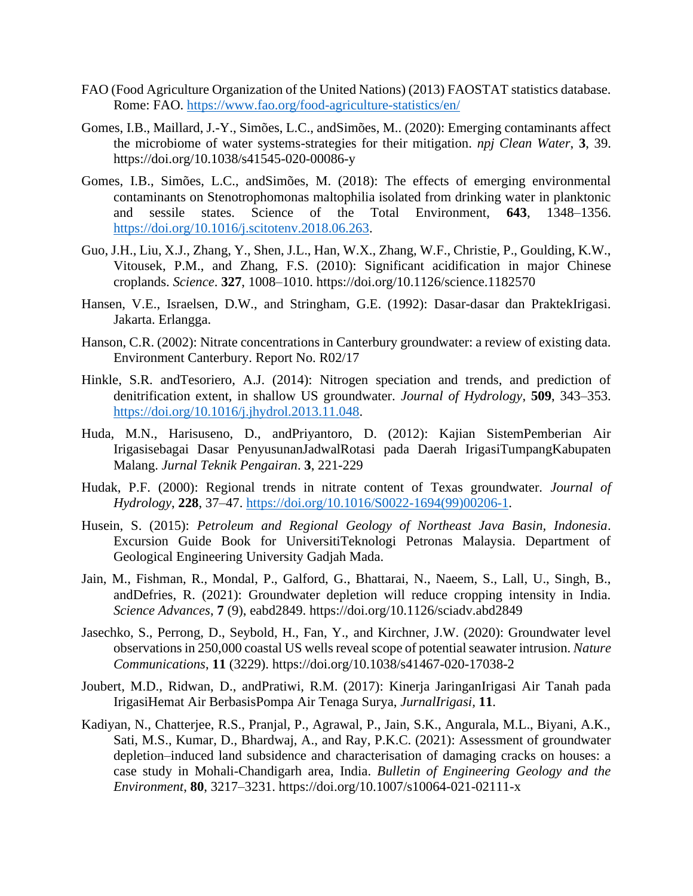- FAO (Food Agriculture Organization of the United Nations) (2013) FAOSTAT statistics database. Rome: FAO.<https://www.fao.org/food-agriculture-statistics/en/>
- Gomes, I.B., Maillard, J.-Y., Simões, L.C., andSimões, M.. (2020): Emerging contaminants affect the microbiome of water systems-strategies for their mitigation. *npj Clean Water*, **3**, 39. https://doi.org/10.1038/s41545-020-00086-y
- Gomes, I.B., Simões, L.C., andSimões, M. (2018): The effects of emerging environmental contaminants on Stenotrophomonas maltophilia isolated from drinking water in planktonic and sessile states. Science of the Total Environment, **643**, 1348–1356. [https://doi.org/10.1016/j.scitotenv.2018.06.263.](https://doi.org/10.1016/j.scitotenv.2018.06.263)
- Guo, J.H., Liu, X.J., Zhang, Y., Shen, J.L., Han, W.X., Zhang, W.F., Christie, P., Goulding, K.W., Vitousek, P.M., and Zhang, F.S. (2010): Significant acidification in major Chinese croplands. *Science*. **327**, 1008–1010. https://doi.org/10.1126/science.1182570
- Hansen, V.E., Israelsen, D.W., and Stringham, G.E. (1992): Dasar-dasar dan PraktekIrigasi. Jakarta. Erlangga.
- Hanson, C.R. (2002): Nitrate concentrations in Canterbury groundwater: a review of existing data. Environment Canterbury. Report No. R02/17
- Hinkle, S.R. andTesoriero, A.J. (2014): Nitrogen speciation and trends, and prediction of denitrification extent, in shallow US groundwater. *Journal of Hydrology*, **509**, 343–353. [https://doi.org/10.1016/j.jhydrol.2013.11.048.](https://doi.org/10.1016/j.jhydrol.2013.11.048)
- Huda, M.N., Harisuseno, D., andPriyantoro, D. (2012): Kajian SistemPemberian Air Irigasisebagai Dasar PenyusunanJadwalRotasi pada Daerah IrigasiTumpangKabupaten Malang. *Jurnal Teknik Pengairan*. **3**, 221-229
- Hudak, P.F. (2000): Regional trends in nitrate content of Texas groundwater. *Journal of Hydrology*, **228**, 37–47. [https://doi.org/10.1016/S0022-1694\(99\)00206-1.](https://doi.org/10.1016/S0022-1694(99)00206-1)
- Husein, S. (2015): *Petroleum and Regional Geology of Northeast Java Basin, Indonesia*. Excursion Guide Book for UniversitiTeknologi Petronas Malaysia. Department of Geological Engineering University Gadjah Mada.
- Jain, M., Fishman, R., Mondal, P., Galford, G., Bhattarai, N., Naeem, S., Lall, U., Singh, B., andDefries, R. (2021): Groundwater depletion will reduce cropping intensity in India. *Science Advances*, **7** (9), eabd2849. https://doi.org/10.1126/sciadv.abd2849
- Jasechko, S., Perrong, D., Seybold, H., Fan, Y., and Kirchner, J.W. (2020): Groundwater level observations in 250,000 coastal US wells reveal scope of potential seawater intrusion. *Nature Communications*, **11** (3229). https://doi.org/10.1038/s41467-020-17038-2
- Joubert, M.D., Ridwan, D., andPratiwi, R.M. (2017): Kinerja JaringanIrigasi Air Tanah pada IrigasiHemat Air BerbasisPompa Air Tenaga Surya, *JurnalIrigasi,* **11**.
- Kadiyan, N., Chatterjee, R.S., Pranjal, P., Agrawal, P., Jain, S.K., Angurala, M.L., Biyani, A.K., Sati, M.S., Kumar, D., Bhardwaj, A., and Ray, P.K.C. (2021): Assessment of groundwater depletion–induced land subsidence and characterisation of damaging cracks on houses: a case study in Mohali-Chandigarh area, India. *Bulletin of Engineering Geology and the Environment*, **80**, 3217–3231. https://doi.org/10.1007/s10064-021-02111-x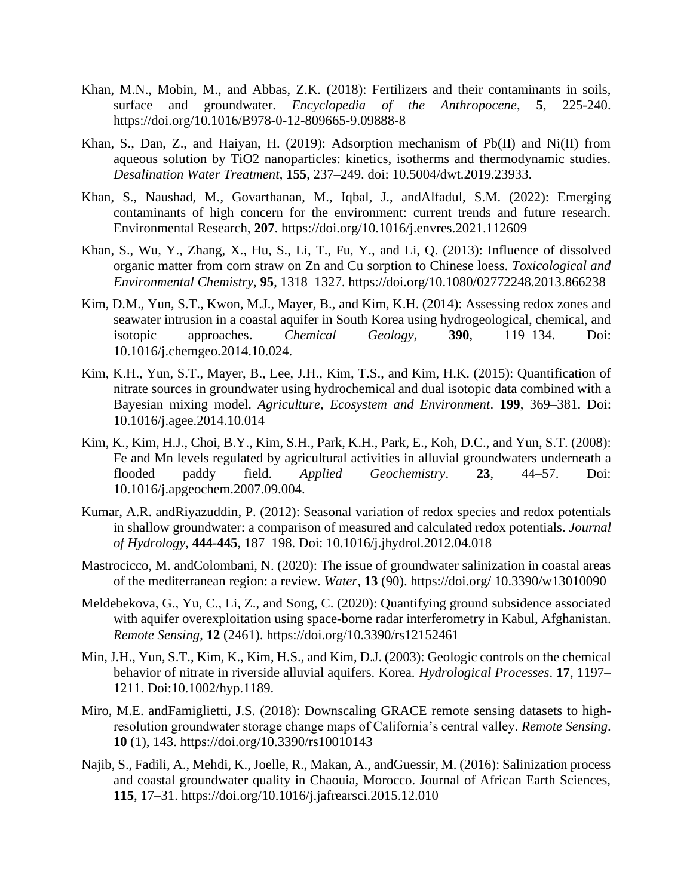- Khan, M.N., Mobin, M., and Abbas, Z.K. (2018): Fertilizers and their contaminants in soils, surface and groundwater. *Encyclopedia of the Anthropocene*, **5**, 225-240. https://doi.org/10.1016/B978-0-12-809665-9.09888-8
- Khan, S., Dan, Z., and Haiyan, H. (2019): Adsorption mechanism of Pb(II) and Ni(II) from aqueous solution by TiO2 nanoparticles: kinetics, isotherms and thermodynamic studies. *Desalination Water Treatment*, **155**, 237–249. doi: 10.5004/dwt.2019.23933.
- Khan, S., Naushad, M., Govarthanan, M., Iqbal, J., andAlfadul, S.M. (2022): Emerging contaminants of high concern for the environment: current trends and future research. Environmental Research, **207**. https://doi.org/10.1016/j.envres.2021.112609
- Khan, S., Wu, Y., Zhang, X., Hu, S., Li, T., Fu, Y., and Li, Q. (2013): Influence of dissolved organic matter from corn straw on Zn and Cu sorption to Chinese loess. *Toxicological and Environmental Chemistry*, **95**, 1318–1327. https://doi.org/10.1080/02772248.2013.866238
- Kim, D.M., Yun, S.T., Kwon, M.J., Mayer, B., and Kim, K.H. (2014): Assessing redox zones and seawater intrusion in a coastal aquifer in South Korea using hydrogeological, chemical, and isotopic approaches. *Chemical Geology*, **390**, 119–134. Doi: 10.1016/j.chemgeo.2014.10.024.
- Kim, K.H., Yun, S.T., Mayer, B., Lee, J.H., Kim, T.S., and Kim, H.K. (2015): Quantification of nitrate sources in groundwater using hydrochemical and dual isotopic data combined with a Bayesian mixing model. *Agriculture, Ecosystem and Environment*. **199**, 369–381. Doi: 10.1016/j.agee.2014.10.014
- Kim, K., Kim, H.J., Choi, B.Y., Kim, S.H., Park, K.H., Park, E., Koh, D.C., and Yun, S.T. (2008): Fe and Mn levels regulated by agricultural activities in alluvial groundwaters underneath a flooded paddy field. *Applied Geochemistry*. **23**, 44–57. Doi: 10.1016/j.apgeochem.2007.09.004.
- Kumar, A.R. andRiyazuddin, P. (2012): Seasonal variation of redox species and redox potentials in shallow groundwater: a comparison of measured and calculated redox potentials. *Journal of Hydrology*, **444-445**, 187–198. Doi: 10.1016/j.jhydrol.2012.04.018
- Mastrocicco, M. andColombani, N. (2020): The issue of groundwater salinization in coastal areas of the mediterranean region: a review. *Water*, **13** (90). https://doi.org/ 10.3390/w13010090
- Meldebekova, G., Yu, C., Li, Z., and Song, C. (2020): Quantifying ground subsidence associated with aquifer overexploitation using space-borne radar interferometry in Kabul, Afghanistan. *Remote Sensing*, **12** (2461). https://doi.org/10.3390/rs12152461
- Min, J.H., Yun, S.T., Kim, K., Kim, H.S., and Kim, D.J. (2003): Geologic controls on the chemical behavior of nitrate in riverside alluvial aquifers. Korea. *Hydrological Processes*. **17**, 1197– 1211. Doi:10.1002/hyp.1189.
- Miro, M.E. andFamiglietti, J.S. (2018): Downscaling GRACE remote sensing datasets to highresolution groundwater storage change maps of California's central valley. *Remote Sensing*. **10** (1), 143. https://doi.org/10.3390/rs10010143
- Najib, S., Fadili, A., Mehdi, K., Joelle, R., Makan, A., andGuessir, M. (2016): Salinization process and coastal groundwater quality in Chaouia, Morocco. Journal of African Earth Sciences, **115**, 17–31. https://doi.org/10.1016/j.jafrearsci.2015.12.010